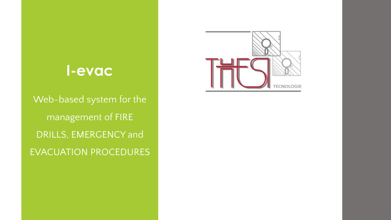# **I-evac**

Web-based system for the management of FIRE DRILLS, EMERGENCY and EVACUATION PROCEDURES

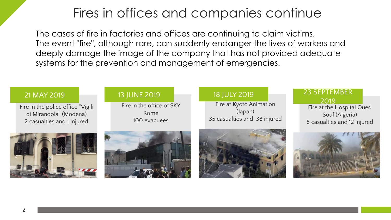## Fires in offices and companies continue

The cases of fire in factories and offices are continuing to claim victims. The event "fire", although rare, can suddenly endanger the lives of workers and deeply damage the image of the company that has not provided adequate systems for the prevention and management of emergencies.

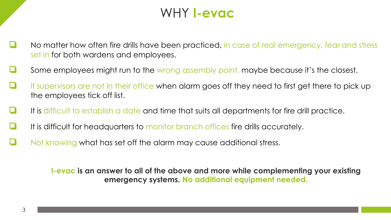## WHY **I-evac**

- No matter how often fire drills have been practiced, in case of real emergency, fear and stress set in for both wardens and employees.
- Some employees might run to the wrong assembly point, maybe because it's the closest.
- If supervisors are not in their office when alarm goes off they need to first get there to pick up the employees tick off list.
- It is difficult to establish a date and time that suits all departments for fire drill practice.
- It is difficult for headquarters to monitor branch offices fire drills accurately.
- ❏ Not knowing what has set off the alarm may cause additional stress.

**I-evac is an answer to all of the above and more while complementing your existing emergency systems. No additional equipment needed.**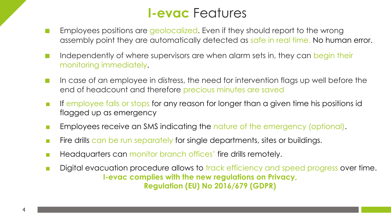## **I-evac** Features

- Employees positions are geolocalized. Even if they should report to the wrong assembly point they are automatically detected as safe in real time. No human error.
- Independently of where supervisors are when alarm sets in, they can begin their monitoring immediately.
- In case of an employee in distress, the need for intervention flags up well before the end of headcount and therefore precious minutes are saved
- If employee falls or stops for any reason for longer than a given time his positions id flagged up as emergency
- Employees receive an SMS indicating the nature of the emergency (optional).
- Fire drills can be run separately for single departments, sites or buildings.
- Headquarters can monitor branch offices' fire drills remotely.
- Digital evacuation procedure allows to track efficiency and speed progress over time. **I-evac complies with the new regulations on Privacy, Regulation (EU) No 2016/679 (GDPR)**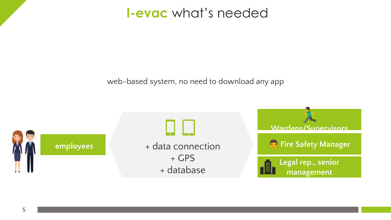**I-evac** what's needed

web-based system, no need to download any app

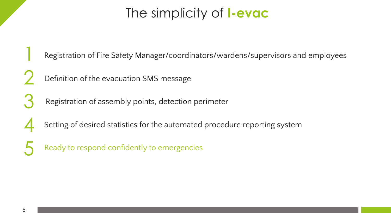# The simplicity of **I-evac**

Registration of Fire Safety Manager/coordinators/wardens/supervisors and employees

- 2 Definition of the evacuation SMS message
- 3 Registration of assembly points, detection perimeter
- 4 Setting of desired statistics for the automated procedure reporting system
	- Ready to respond confidently to emergencies

1

5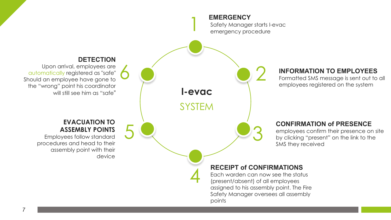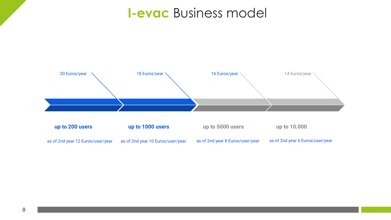## **I-evac** Business model

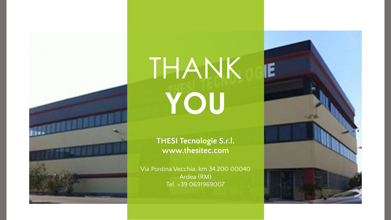

# THANK **YOU**

#### **THESI Tecnologie S.r.l. www.thesitec.com**

Via Pontina Vecchia, km 34.200 00040 Ardea (RM) Tel. +39 0691969007

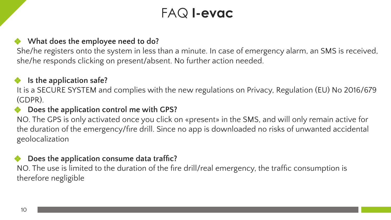## FAQ **I-evac**

#### ❖ **What does the employee need to do?**

She/he registers onto the system in less than a minute. In case of emergency alarm, an SMS is received, she/he responds clicking on present/absent. No further action needed.

#### ❖ **Is the application safe?**

It is a SECURE SYSTEM and complies with the new regulations on Privacy, Regulation (EU) No 2016/679 (GDPR).

#### ❖ **Does the application control me with GPS?**

NO. The GPS is only activated once you click on «present» in the SMS, and will only remain active for the duration of the emergency/fire drill. Since no app is downloaded no risks of unwanted accidental geolocalization

#### ❖ **Does the application consume data traffic?**

NO. The use is limited to the duration of the fire drill/real emergency, the traffic consumption is therefore negligible